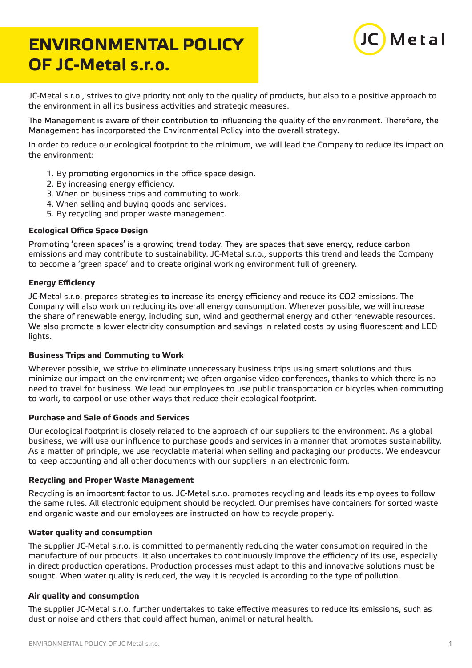# **ENVIRONMENTAL POLICY OF JC-Metal s.r.o.**



JC-Metal s.r.o., strives to give priority not only to the quality of products, but also to a positive approach to the environment in all its business activities and strategic measures.

The Management is aware of their contribution to influencing the quality of the environment. Therefore, the Management has incorporated the Environmental Policy into the overall strategy.

In order to reduce our ecological footprint to the minimum, we will lead the Company to reduce its impact on the environment:

- 1. By promoting ergonomics in the office space design.
- 2. By increasing energy efficiency.
- 3. When on business trips and commuting to work.
- 4. When selling and buying goods and services.
- 5. By recycling and proper waste management.

## **Ecological Office Space Design**

Promoting 'green spaces' is a growing trend today. They are spaces that save energy, reduce carbon emissions and may contribute to sustainability. JC-Metal s.r.o., supports this trend and leads the Company to become a 'green space' and to create original working environment full of greenery.

## **Energy Efficiency**

JC-Metal s.r.o. prepares strategies to increase its energy efficiency and reduce its CO2 emissions. The Company will also work on reducing its overall energy consumption. Wherever possible, we will increase the share of renewable energy, including sun, wind and geothermal energy and other renewable resources. We also promote a lower electricity consumption and savings in related costs by using fluorescent and LED lights.

#### **Business Trips and Commuting to Work**

Wherever possible, we strive to eliminate unnecessary business trips using smart solutions and thus minimize our impact on the environment; we often organise video conferences, thanks to which there is no need to travel for business. We lead our employees to use public transportation or bicycles when commuting to work, to carpool or use other ways that reduce their ecological footprint.

### **Purchase and Sale of Goods and Services**

Our ecological footprint is closely related to the approach of our suppliers to the environment. As a global business, we will use our influence to purchase goods and services in a manner that promotes sustainability. As a matter of principle, we use recyclable material when selling and packaging our products. We endeavour to keep accounting and all other documents with our suppliers in an electronic form.

#### **Recycling and Proper Waste Management**

Recycling is an important factor to us. JC-Metal s.r.o. promotes recycling and leads its employees to follow the same rules. All electronic equipment should be recycled. Our premises have containers for sorted waste and organic waste and our employees are instructed on how to recycle properly.

#### **Water quality and consumption**

The supplier JC-Metal s.r.o. is committed to permanently reducing the water consumption required in the manufacture of our products. It also undertakes to continuously improve the efficiency of its use, especially in direct production operations. Production processes must adapt to this and innovative solutions must be sought. When water quality is reduced, the way it is recycled is according to the type of pollution.

#### **Air quality and consumption**

The supplier JC-Metal s.r.o. further undertakes to take effective measures to reduce its emissions, such as dust or noise and others that could affect human, animal or natural health.